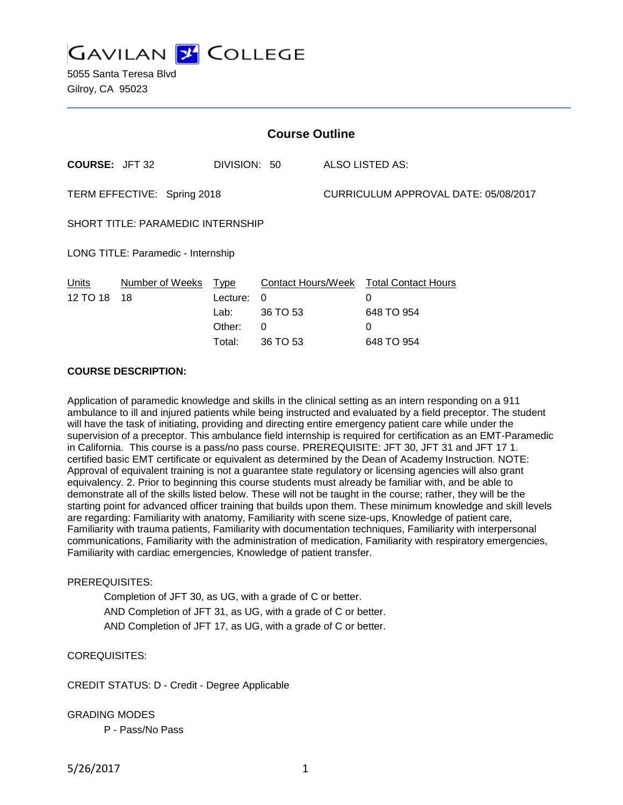**GAVILAN Z COLLEGE** 

5055 Santa Teresa Blvd Gilroy, CA 95023

| <b>Course Outline</b>                      |                                              |                                                             |                                      |                                                                  |
|--------------------------------------------|----------------------------------------------|-------------------------------------------------------------|--------------------------------------|------------------------------------------------------------------|
| <b>COURSE: JFT 32</b>                      | DIVISION: 50                                 |                                                             |                                      | ALSO LISTED AS:                                                  |
| TERM EFFECTIVE: Spring 2018                |                                              |                                                             | CURRICULUM APPROVAL DATE: 05/08/2017 |                                                                  |
| <b>SHORT TITLE: PARAMEDIC INTERNSHIP</b>   |                                              |                                                             |                                      |                                                                  |
| LONG TITLE: Paramedic - Internship         |                                              |                                                             |                                      |                                                                  |
| Number of Weeks<br>Units<br>12 TO 18<br>18 | Type<br>Lecture:<br>Lab:<br>Other:<br>Total: | <b>Contact Hours/Week</b><br>0<br>36 TO 53<br>0<br>36 TO 53 |                                      | <b>Total Contact Hours</b><br>0<br>648 TO 954<br>0<br>648 TO 954 |

#### **COURSE DESCRIPTION:**

Application of paramedic knowledge and skills in the clinical setting as an intern responding on a 911 ambulance to ill and injured patients while being instructed and evaluated by a field preceptor. The student will have the task of initiating, providing and directing entire emergency patient care while under the supervision of a preceptor. This ambulance field internship is required for certification as an EMT-Paramedic in California. This course is a pass/no pass course. PREREQUISITE: JFT 30, JFT 31 and JFT 17 1. certified basic EMT certificate or equivalent as determined by the Dean of Academy Instruction. NOTE: Approval of equivalent training is not a guarantee state regulatory or licensing agencies will also grant equivalency. 2. Prior to beginning this course students must already be familiar with, and be able to demonstrate all of the skills listed below. These will not be taught in the course; rather, they will be the starting point for advanced officer training that builds upon them. These minimum knowledge and skill levels are regarding: Familiarity with anatomy, Familiarity with scene size-ups, Knowledge of patient care, Familiarity with trauma patients, Familiarity with documentation techniques, Familiarity with interpersonal communications, Familiarity with the administration of medication, Familiarity with respiratory emergencies, Familiarity with cardiac emergencies, Knowledge of patient transfer.

# PREREQUISITES:

Completion of JFT 30, as UG, with a grade of C or better. AND Completion of JFT 31, as UG, with a grade of C or better. AND Completion of JFT 17, as UG, with a grade of C or better.

# COREQUISITES:

CREDIT STATUS: D - Credit - Degree Applicable

GRADING MODES

P - Pass/No Pass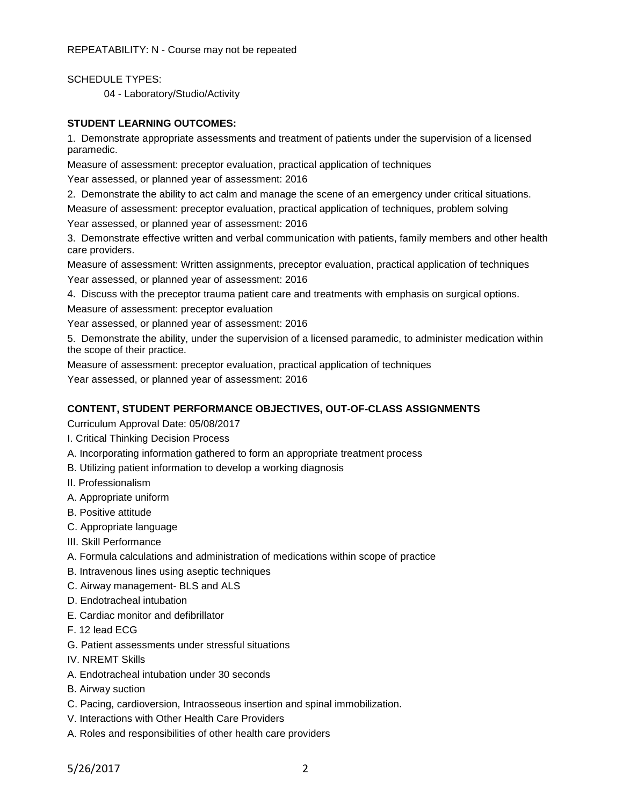REPEATABILITY: N - Course may not be repeated

SCHEDULE TYPES:

04 - Laboratory/Studio/Activity

# **STUDENT LEARNING OUTCOMES:**

1. Demonstrate appropriate assessments and treatment of patients under the supervision of a licensed paramedic.

Measure of assessment: preceptor evaluation, practical application of techniques Year assessed, or planned year of assessment: 2016

2. Demonstrate the ability to act calm and manage the scene of an emergency under critical situations.

Measure of assessment: preceptor evaluation, practical application of techniques, problem solving

Year assessed, or planned year of assessment: 2016

3. Demonstrate effective written and verbal communication with patients, family members and other health care providers.

Measure of assessment: Written assignments, preceptor evaluation, practical application of techniques Year assessed, or planned year of assessment: 2016

4. Discuss with the preceptor trauma patient care and treatments with emphasis on surgical options.

Measure of assessment: preceptor evaluation

Year assessed, or planned year of assessment: 2016

5. Demonstrate the ability, under the supervision of a licensed paramedic, to administer medication within the scope of their practice.

Measure of assessment: preceptor evaluation, practical application of techniques

Year assessed, or planned year of assessment: 2016

# **CONTENT, STUDENT PERFORMANCE OBJECTIVES, OUT-OF-CLASS ASSIGNMENTS**

Curriculum Approval Date: 05/08/2017

- I. Critical Thinking Decision Process
- A. Incorporating information gathered to form an appropriate treatment process
- B. Utilizing patient information to develop a working diagnosis
- II. Professionalism
- A. Appropriate uniform
- B. Positive attitude
- C. Appropriate language
- III. Skill Performance
- A. Formula calculations and administration of medications within scope of practice
- B. Intravenous lines using aseptic techniques
- C. Airway management- BLS and ALS
- D. Endotracheal intubation
- E. Cardiac monitor and defibrillator
- F. 12 lead ECG
- G. Patient assessments under stressful situations
- IV. NREMT Skills
- A. Endotracheal intubation under 30 seconds
- B. Airway suction
- C. Pacing, cardioversion, Intraosseous insertion and spinal immobilization.
- V. Interactions with Other Health Care Providers
- A. Roles and responsibilities of other health care providers

5/26/2017 2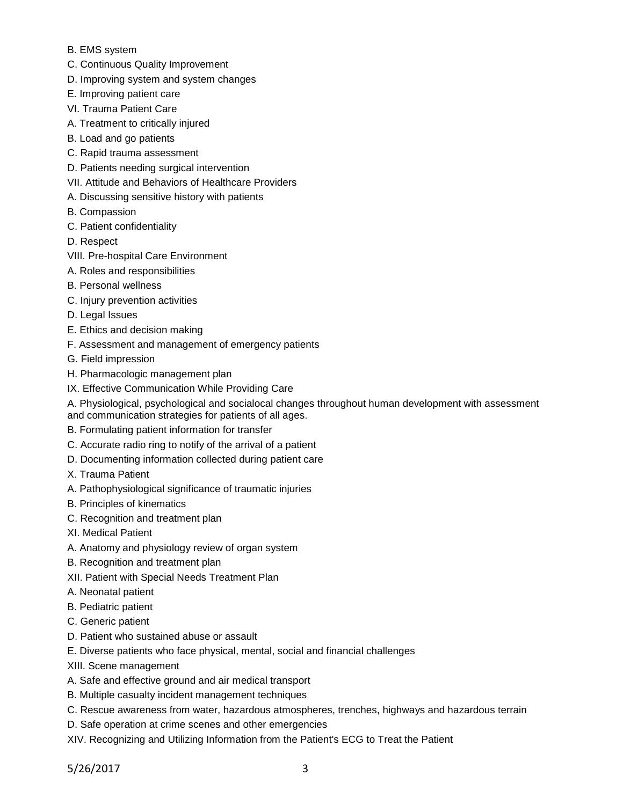- B. EMS system
- C. Continuous Quality Improvement
- D. Improving system and system changes
- E. Improving patient care
- VI. Trauma Patient Care
- A. Treatment to critically injured
- B. Load and go patients
- C. Rapid trauma assessment
- D. Patients needing surgical intervention
- VII. Attitude and Behaviors of Healthcare Providers
- A. Discussing sensitive history with patients
- B. Compassion
- C. Patient confidentiality
- D. Respect
- VIII. Pre-hospital Care Environment
- A. Roles and responsibilities
- B. Personal wellness
- C. Injury prevention activities
- D. Legal Issues
- E. Ethics and decision making
- F. Assessment and management of emergency patients
- G. Field impression
- H. Pharmacologic management plan
- IX. Effective Communication While Providing Care
- A. Physiological, psychological and socialocal changes throughout human development with assessment and communication strategies for patients of all ages.
- B. Formulating patient information for transfer
- C. Accurate radio ring to notify of the arrival of a patient
- D. Documenting information collected during patient care
- X. Trauma Patient
- A. Pathophysiological significance of traumatic injuries
- B. Principles of kinematics
- C. Recognition and treatment plan
- XI. Medical Patient
- A. Anatomy and physiology review of organ system
- B. Recognition and treatment plan
- XII. Patient with Special Needs Treatment Plan
- A. Neonatal patient
- B. Pediatric patient
- C. Generic patient
- D. Patient who sustained abuse or assault
- E. Diverse patients who face physical, mental, social and financial challenges
- XIII. Scene management
- A. Safe and effective ground and air medical transport
- B. Multiple casualty incident management techniques
- C. Rescue awareness from water, hazardous atmospheres, trenches, highways and hazardous terrain
- D. Safe operation at crime scenes and other emergencies
- XIV. Recognizing and Utilizing Information from the Patient's ECG to Treat the Patient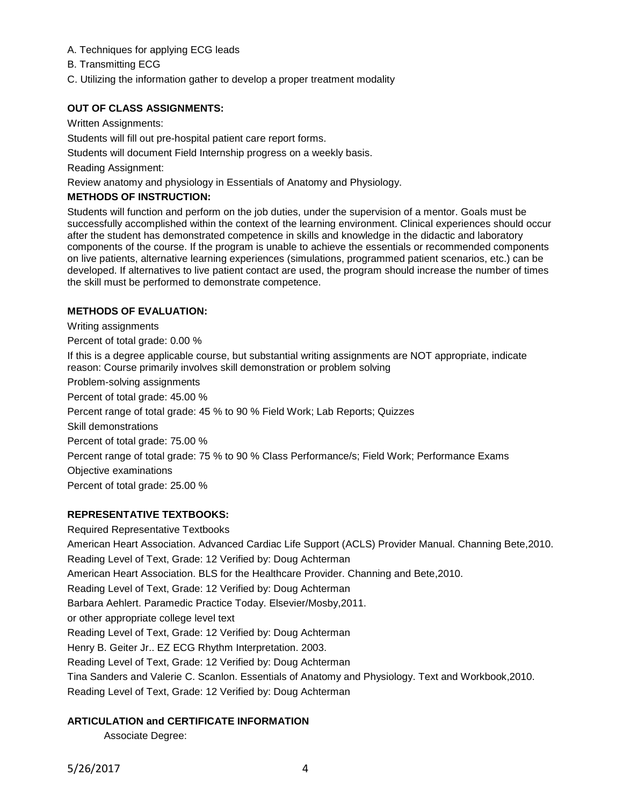- A. Techniques for applying ECG leads
- B. Transmitting ECG
- C. Utilizing the information gather to develop a proper treatment modality

# **OUT OF CLASS ASSIGNMENTS:**

Written Assignments:

Students will fill out pre-hospital patient care report forms.

Students will document Field Internship progress on a weekly basis.

Reading Assignment:

Review anatomy and physiology in Essentials of Anatomy and Physiology.

# **METHODS OF INSTRUCTION:**

Students will function and perform on the job duties, under the supervision of a mentor. Goals must be successfully accomplished within the context of the learning environment. Clinical experiences should occur after the student has demonstrated competence in skills and knowledge in the didactic and laboratory components of the course. If the program is unable to achieve the essentials or recommended components on live patients, alternative learning experiences (simulations, programmed patient scenarios, etc.) can be developed. If alternatives to live patient contact are used, the program should increase the number of times the skill must be performed to demonstrate competence.

# **METHODS OF EVALUATION:**

Writing assignments Percent of total grade: 0.00 % If this is a degree applicable course, but substantial writing assignments are NOT appropriate, indicate reason: Course primarily involves skill demonstration or problem solving Problem-solving assignments Percent of total grade: 45.00 % Percent range of total grade: 45 % to 90 % Field Work; Lab Reports; Quizzes Skill demonstrations Percent of total grade: 75.00 % Percent range of total grade: 75 % to 90 % Class Performance/s; Field Work; Performance Exams Objective examinations Percent of total grade: 25.00 %

# **REPRESENTATIVE TEXTBOOKS:**

Required Representative Textbooks American Heart Association. Advanced Cardiac Life Support (ACLS) Provider Manual. Channing Bete,2010. Reading Level of Text, Grade: 12 Verified by: Doug Achterman American Heart Association. BLS for the Healthcare Provider. Channing and Bete,2010. Reading Level of Text, Grade: 12 Verified by: Doug Achterman Barbara Aehlert. Paramedic Practice Today. Elsevier/Mosby,2011. or other appropriate college level text Reading Level of Text, Grade: 12 Verified by: Doug Achterman Henry B. Geiter Jr.. EZ ECG Rhythm Interpretation. 2003. Reading Level of Text, Grade: 12 Verified by: Doug Achterman Tina Sanders and Valerie C. Scanlon. Essentials of Anatomy and Physiology. Text and Workbook,2010. Reading Level of Text, Grade: 12 Verified by: Doug Achterman

# **ARTICULATION and CERTIFICATE INFORMATION**

Associate Degree: